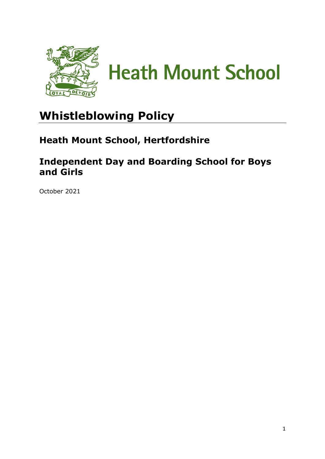

# **Whistleblowing Policy**

## **Heath Mount School, Hertfordshire**

## **Independent Day and Boarding School for Boys and Girls**

October 2021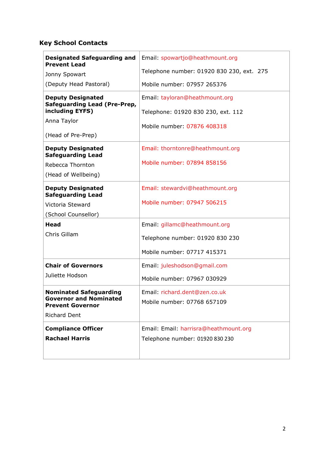### **Key School Contacts**

| <b>Designated Safeguarding and</b><br><b>Prevent Lead</b>       | Email: spowartjo@heathmount.org           |  |
|-----------------------------------------------------------------|-------------------------------------------|--|
| Jonny Spowart                                                   | Telephone number: 01920 830 230, ext. 275 |  |
| (Deputy Head Pastoral)                                          | Mobile number: 07957 265376               |  |
| <b>Deputy Designated</b><br><b>Safeguarding Lead (Pre-Prep,</b> | Email: tayloran@heathmount.org            |  |
| including EYFS)                                                 | Telephone: 01920 830 230, ext. 112        |  |
| Anna Taylor                                                     | Mobile number: 07876 408318               |  |
| (Head of Pre-Prep)                                              |                                           |  |
| <b>Deputy Designated</b><br><b>Safeguarding Lead</b>            | Email: thorntonre@heathmount.org          |  |
| Rebecca Thornton                                                | Mobile number: 07894 858156               |  |
| (Head of Wellbeing)                                             |                                           |  |
| <b>Deputy Designated</b><br><b>Safeguarding Lead</b>            | Email: stewardvi@heathmount.org           |  |
| Victoria Steward                                                | Mobile number: 07947 506215               |  |
| (School Counsellor)                                             |                                           |  |
| Head                                                            | Email: gillamc@heathmount.org             |  |
| Chris Gillam                                                    | Telephone number: 01920 830 230           |  |
|                                                                 | Mobile number: 07717 415371               |  |
| <b>Chair of Governors</b>                                       | Email: juleshodson@gmail.com              |  |
| Juliette Hodson                                                 | Mobile number: 07967 030929               |  |
| <b>Nominated Safeguarding</b>                                   | Email: richard.dent@zen.co.uk             |  |
| <b>Governor and Nominated</b><br><b>Prevent Governor</b>        | Mobile number: 07768 657109               |  |
| <b>Richard Dent</b>                                             |                                           |  |
| <b>Compliance Officer</b>                                       | Email: Email: harrisra@heathmount.org     |  |
| <b>Rachael Harris</b>                                           | Telephone number: 01920 830 230           |  |
|                                                                 |                                           |  |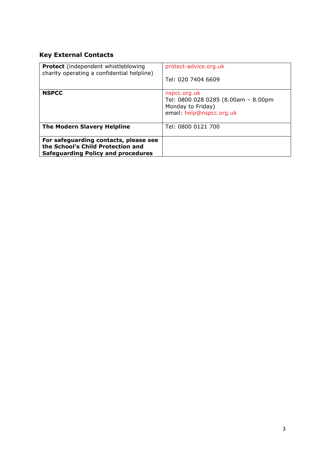### **Key External Contacts**

| <b>Protect</b> (independent whistleblowing<br>charity operating a confidential helpline)                                | protect-advice.org.uk<br>Tel: 020 7404 6609                                                          |
|-------------------------------------------------------------------------------------------------------------------------|------------------------------------------------------------------------------------------------------|
| <b>NSPCC</b>                                                                                                            | nspcc.org.uk<br>Tel: 0800 028 0285 (8.00am - 8.00pm<br>Monday to Friday)<br>email: help@nspcc.org.uk |
| <b>The Modern Slavery Helpline</b>                                                                                      | Tel: 0800 0121 700                                                                                   |
| For safeguarding contacts, please see<br>the School's Child Protection and<br><b>Safeguarding Policy and procedures</b> |                                                                                                      |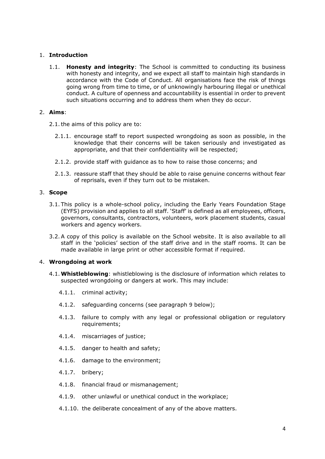#### 1. **Introduction**

1.1. **Honesty and integrity**: The School is committed to conducting its business with honesty and integrity, and we expect all staff to maintain high standards in accordance with the Code of Conduct. All organisations face the risk of things going wrong from time to time, or of unknowingly harbouring illegal or unethical conduct. A culture of openness and accountability is essential in order to prevent such situations occurring and to address them when they do occur.

#### 2. **Aims**:

2.1.the aims of this policy are to:

- 2.1.1. encourage staff to report suspected wrongdoing as soon as possible, in the knowledge that their concerns will be taken seriously and investigated as appropriate, and that their confidentiality will be respected;
- 2.1.2. provide staff with guidance as to how to raise those concerns; and
- 2.1.3. reassure staff that they should be able to raise genuine concerns without fear of reprisals, even if they turn out to be mistaken.

#### 3. **Scope**

- 3.1. This policy is a whole-school policy, including the Early Years Foundation Stage (EYFS) provision and applies to all staff. 'Staff' is defined as all employees, officers, governors, consultants, contractors, volunteers, work placement students, casual workers and agency workers.
- 3.2.A copy of this policy is available on the School website. It is also available to all staff in the 'policies' section of the staff drive and in the staff rooms. It can be made available in large print or other accessible format if required.

#### 4. **Wrongdoing at work**

- 4.1.**Whistleblowing**: whistleblowing is the disclosure of information which relates to suspected wrongdoing or dangers at work. This may include:
	- 4.1.1. criminal activity;
	- 4.1.2. safeguarding concerns (see paragraph [9](#page-4-0) below);
	- 4.1.3. failure to comply with any legal or professional obligation or regulatory requirements;
	- 4.1.4. miscarriages of justice;
	- 4.1.5. danger to health and safety;
	- 4.1.6. damage to the environment;
	- 4.1.7. bribery;
	- 4.1.8. financial fraud or mismanagement;
	- 4.1.9. other unlawful or unethical conduct in the workplace;
	- 4.1.10. the deliberate concealment of any of the above matters.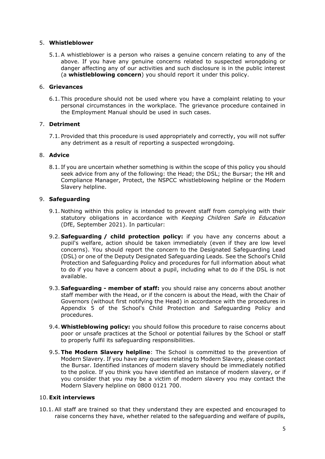#### 5. **Whistleblower**

5.1.A whistleblower is a person who raises a genuine concern relating to any of the above. If you have any genuine concerns related to suspected wrongdoing or danger affecting any of our activities and such disclosure is in the public interest (a **whistleblowing concern**) you should report it under this policy.

#### 6. **Grievances**

6.1. This procedure should not be used where you have a complaint relating to your personal circumstances in the workplace. The grievance procedure contained in the Employment Manual should be used in such cases.

#### 7. **Detriment**

7.1. Provided that this procedure is used appropriately and correctly, you will not suffer any detriment as a result of reporting a suspected wrongdoing.

#### 8. **Advice**

8.1. If you are uncertain whether something is within the scope of this policy you should seek advice from any of the following: the Head; the DSL; the Bursar; the HR and Compliance Manager, Protect, the NSPCC whistleblowing helpline or the Modern Slavery helpline.

#### <span id="page-4-0"></span>9. **Safeguarding**

- 9.1. Nothing within this policy is intended to prevent staff from complying with their statutory obligations in accordance with *Keeping Children Safe in Education* (DfE, September 2021). In particular:
- 9.2. **Safeguarding / child protection policy:** if you have any concerns about a pupil's welfare, action should be taken immediately (even if they are low level concerns). You should report the concern to the Designated Safeguarding Lead (DSL) or one of the Deputy Designated Safeguarding Leads. See the School's Child Protection and Safeguarding Policy and procedures for full information about what to do if you have a concern about a pupil, including what to do if the DSL is not available.
- 9.3. **Safeguarding - member of staff:** you should raise any concerns about another staff member with the Head, or if the concern is about the Head, with the Chair of Governors (without first notifying the Head) in accordance with the procedures in Appendix 5 of the School's Child Protection and Safeguarding Policy and procedures.
- 9.4.**Whistleblowing policy:** you should follow this procedure to raise concerns about poor or unsafe practices at the School or potential failures by the School or staff to properly fulfil its safeguarding responsibilities.
- 9.5.**The Modern Slavery helpline**: The School is committed to the prevention of Modern Slavery. If you have any queries relating to Modern Slavery, please contact the Bursar. Identified instances of modern slavery should be immediately notified to the police. If you think you have identified an instance of modern slavery, or if you consider that you may be a victim of modern slavery you may contact the Modern Slavery helpline on 0800 0121 700.

#### 10.**Exit interviews**

10.1. All staff are trained so that they understand they are expected and encouraged to raise concerns they have, whether related to the safeguarding and welfare of pupils,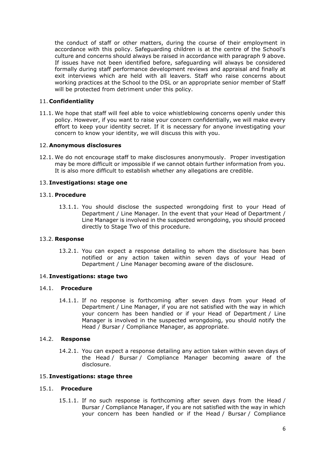the conduct of staff or other matters, during the course of their employment in accordance with this policy. Safeguarding children is at the centre of the School's culture and concerns should always be raised in accordance with paragraph [9](#page-4-0) above. If issues have not been identified before, safeguarding will always be considered formally during staff performance development reviews and appraisal and finally at exit interviews which are held with all leavers. Staff who raise concerns about working practices at the School to the DSL or an appropriate senior member of Staff will be protected from detriment under this policy.

#### 11. **Confidentiality**

11.1. We hope that staff will feel able to voice whistleblowing concerns openly under this policy. However, if you want to raise your concern confidentially, we will make every effort to keep your identity secret. If it is necessary for anyone investigating your concern to know your identity, we will discuss this with you.

#### 12. **Anonymous disclosures**

12.1. We do not encourage staff to make disclosures anonymously. Proper investigation may be more difficult or impossible if we cannot obtain further information from you. It is also more difficult to establish whether any allegations are credible.

#### 13. **Investigations: stage one**

#### 13.1. **Procedure**

13.1.1. You should disclose the suspected wrongdoing first to your Head of Department / Line Manager. In the event that your Head of Department / Line Manager is involved in the suspected wrongdoing, you should proceed directly to Stage Two of this procedure.

#### 13.2. **Response**

13.2.1. You can expect a response detailing to whom the disclosure has been notified or any action taken within seven days of your Head of Department / Line Manager becoming aware of the disclosure.

#### 14. **Investigations: stage two**

#### 14.1. **Procedure**

14.1.1. If no response is forthcoming after seven days from your Head of Department / Line Manager, if you are not satisfied with the way in which your concern has been handled or if your Head of Department / Line Manager is involved in the suspected wrongdoing, you should notify the Head / Bursar / Compliance Manager, as appropriate.

#### 14.2. **Response**

14.2.1. You can expect a response detailing any action taken within seven days of the Head / Bursar / Compliance Manager becoming aware of the disclosure.

#### 15. **Investigations: stage three**

#### 15.1. **Procedure**

15.1.1. If no such response is forthcoming after seven days from the Head / Bursar / Compliance Manager, if you are not satisfied with the way in which your concern has been handled or if the Head / Bursar / Compliance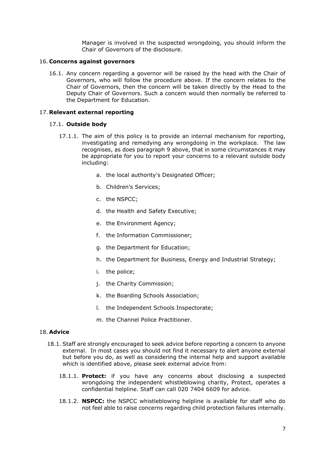Manager is involved in the suspected wrongdoing, you should inform the Chair of Governors of the disclosure.

#### 16. **Concerns against governors**

16.1. Any concern regarding a governor will be raised by the head with the Chair of Governors, who will follow the procedure above. If the concern relates to the Chair of Governors, then the concern will be taken directly by the Head to the Deputy Chair of Governors. Such a concern would then normally be referred to the Department for Education.

#### 17. **Relevant external reporting**

#### 17.1. **Outside body**

- 17.1.1. The aim of this policy is to provide an internal mechanism for reporting, investigating and remedying any wrongdoing in the workplace. The law recognises, as does paragraph [9](#page-4-0) above, that in some circumstances it may be appropriate for you to report your concerns to a relevant outside body including:
	- a. the local authority's Designated Officer;
	- b. Children's Services;
	- c. the NSPCC;
	- d. the Health and Safety Executive;
	- e. the Environment Agency;
	- f. the Information Commissioner;
	- g. the Department for Education;
	- h. the Department for Business, Energy and Industrial Strategy;
	- i. the police;
	- j. the Charity Commission;
	- k. the Boarding Schools Association;
	- l. the Independent Schools Inspectorate;
	- m. the Channel Police Practitioner.

#### 18. **Advice**

- 18.1. Staff are strongly encouraged to seek advice before reporting a concern to anyone external. In most cases you should not find it necessary to alert anyone external but before you do, as well as considering the internal help and support available which is identified above, please seek external advice from:
	- 18.1.1. **Protect:** if you have any concerns about disclosing a suspected wrongdoing the independent whistleblowing charity, Protect, operates a confidential helpline. Staff can call 020 7404 6609 for advice.
	- 18.1.2. **NSPCC:** the NSPCC whistleblowing helpline is available for staff who do not feel able to raise concerns regarding child protection failures internally.